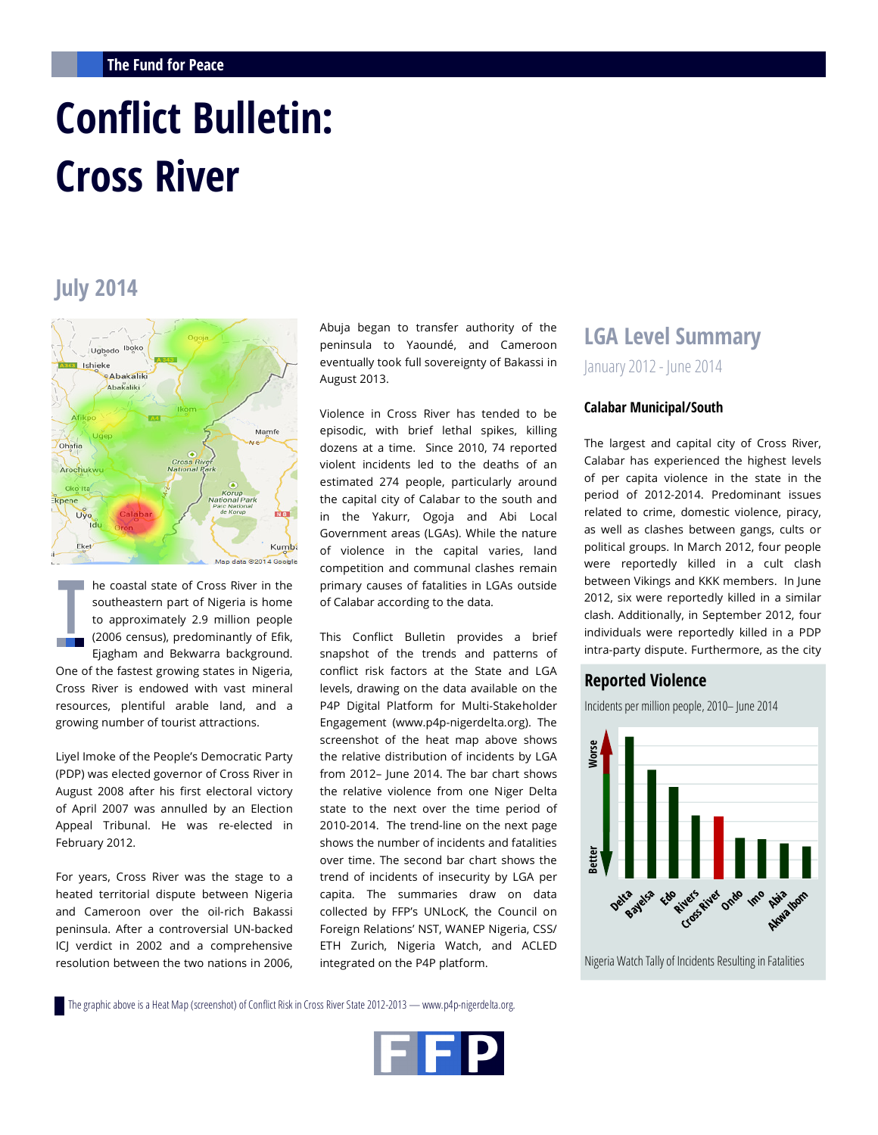# **Conflict Bulletin: Cross River**

## **July 2014**



he coastal state of Cross River in the southeastern part of Nigeria is home to approximately 2.9 million people (2006 census), predominantly of Efik, H. Ejagham and Bekwarra background. One of the fastest growing states in Nigeria, Cross River is endowed with vast mineral resources, plentiful arable land, and a growing number of tourist attractions.

Liyel Imoke of the People's Democratic Party (PDP) was elected governor of Cross River in August 2008 after his first electoral victory of April 2007 was annulled by an Election Appeal Tribunal. He was re-elected in February 2012.

For years, Cross River was the stage to a heated territorial dispute between Nigeria and Cameroon over the oil-rich Bakassi peninsula. After a controversial UN-backed ICJ verdict in 2002 and a comprehensive resolution between the two nations in 2006, Abuja began to transfer authority of the peninsula to Yaoundé, and Cameroon eventually took full sovereignty of Bakassi in August 2013.

Violence in Cross River has tended to be episodic, with brief lethal spikes, killing dozens at a time. Since 2010, 74 reported violent incidents led to the deaths of an estimated 274 people, particularly around the capital city of Calabar to the south and in the Yakurr, Ogoja and Abi Local Government areas (LGAs). While the nature of violence in the capital varies, land competition and communal clashes remain primary causes of fatalities in LGAs outside of Calabar according to the data.

This Conflict Bulletin provides a brief snapshot of the trends and patterns of conflict risk factors at the State and LGA levels, drawing on the data available on the P4P Digital Platform for Multi-Stakeholder Engagement (www.p4p-nigerdelta.org). The screenshot of the heat map above shows the relative distribution of incidents by LGA from 2012– June 2014. The bar chart shows the relative violence from one Niger Delta state to the next over the time period of 2010-2014. The trend-line on the next page shows the number of incidents and fatalities over time. The second bar chart shows the trend of incidents of insecurity by LGA per capita. The summaries draw on data collected by FFP's UNLocK, the Council on Foreign Relations' NST, WANEP Nigeria, CSS/ ETH Zurich, Nigeria Watch, and ACLED integrated on the P4P platform.

### **LGA Level Summary**

January 2012 - June 2014

#### **Calabar Municipal/South**

The largest and capital city of Cross River, Calabar has experienced the highest levels of per capita violence in the state in the period of 2012-2014. Predominant issues related to crime, domestic violence, piracy, as well as clashes between gangs, cults or political groups. In March 2012, four people were reportedly killed in a cult clash between Vikings and KKK members. In June 2012, six were reportedly killed in a similar clash. Additionally, in September 2012, four individuals were reportedly killed in a PDP intra-party dispute. Furthermore, as the city

#### **Reported Violence**

Incidents per million people, 2010– June 2014



The graphic above is a Heat Map (screenshot) of Conflict Risk in Cross River State 2012-2013 — www.p4p-nigerdelta.org.